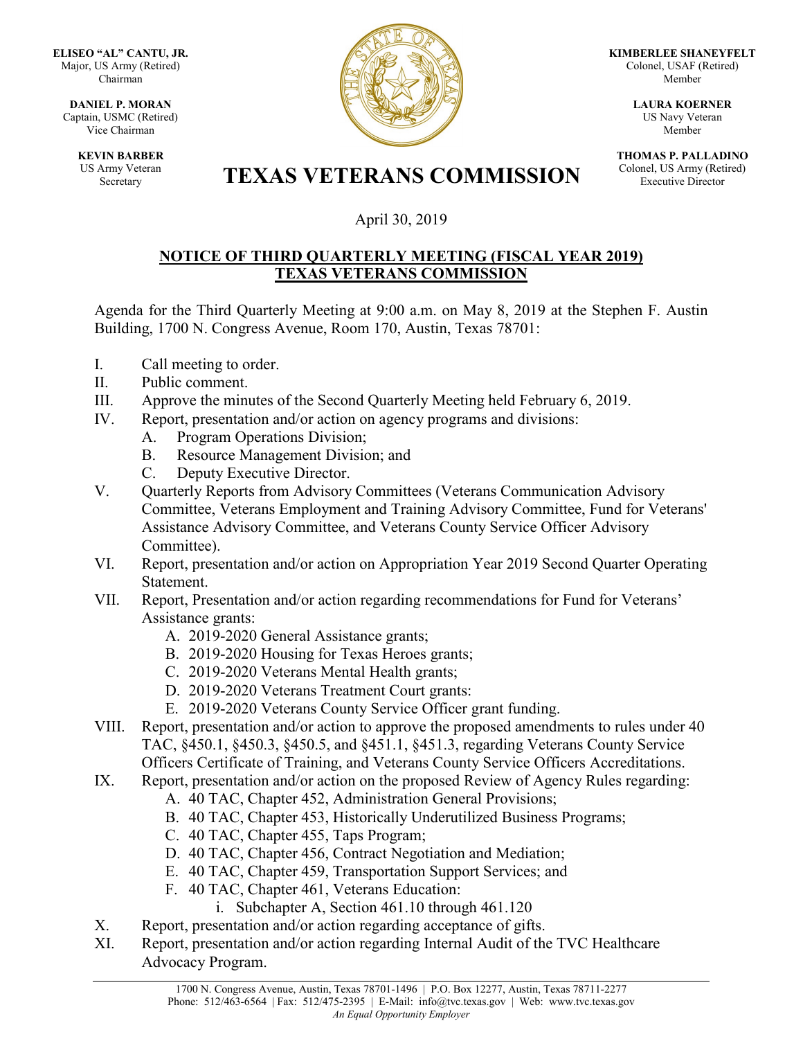**ELISEO "AL" CANTU, JR.** Major, US Army (Retired) Chairman

**DANIEL P. MORAN** Captain, USMC (Retired) Vice Chairman

> **KEVIN BARBER** US Army Veteran



**KIMBERLEE SHANEYFELT** Colonel, USAF (Retired) Member

> **LAURA KOERNER** US Navy Veteran Member

**THOMAS P. PALLADINO** Colonel, US Army (Retired) Executive Director

## Army Veteran **TEXAS VETERANS COMMISSION**

## April 30, 2019

## **NOTICE OF THIRD QUARTERLY MEETING (FISCAL YEAR 2019) TEXAS VETERANS COMMISSION**

Agenda for the Third Quarterly Meeting at 9:00 a.m. on May 8, 2019 at the Stephen F. Austin Building, 1700 N. Congress Avenue, Room 170, Austin, Texas 78701:

- I. Call meeting to order.
- II. Public comment.
- III. Approve the minutes of the Second Quarterly Meeting held February 6, 2019.
- IV. Report, presentation and/or action on agency programs and divisions:
	- A. Program Operations Division;
	- B. Resource Management Division; and
	- C. Deputy Executive Director.
- V. Quarterly Reports from Advisory Committees (Veterans Communication Advisory Committee, Veterans Employment and Training Advisory Committee, Fund for Veterans' Assistance Advisory Committee, and Veterans County Service Officer Advisory Committee).
- VI. Report, presentation and/or action on Appropriation Year 2019 Second Quarter Operating Statement.
- VII. Report, Presentation and/or action regarding recommendations for Fund for Veterans' Assistance grants:
	- A. 2019-2020 General Assistance grants;
	- B. 2019-2020 Housing for Texas Heroes grants;
	- C. 2019-2020 Veterans Mental Health grants;
	- D. 2019-2020 Veterans Treatment Court grants:
	- E. 2019-2020 Veterans County Service Officer grant funding.
- VIII. Report, presentation and/or action to approve the proposed amendments to rules under 40 TAC, §450.1, §450.3, §450.5, and §451.1, §451.3, regarding Veterans County Service Officers Certificate of Training, and Veterans County Service Officers Accreditations.
- IX. Report, presentation and/or action on the proposed Review of Agency Rules regarding:
	- A. 40 TAC, Chapter 452, Administration General Provisions;
	- B. 40 TAC, Chapter 453, Historically Underutilized Business Programs;
	- C. 40 TAC, Chapter 455, Taps Program;
	- D. 40 TAC, Chapter 456, Contract Negotiation and Mediation;
	- E. 40 TAC, Chapter 459, Transportation Support Services; and
	- F. 40 TAC, Chapter 461, Veterans Education:
		- i. Subchapter A, Section 461.10 through 461.120
- X. Report, presentation and/or action regarding acceptance of gifts.
- XI. Report, presentation and/or action regarding Internal Audit of the TVC Healthcare Advocacy Program.